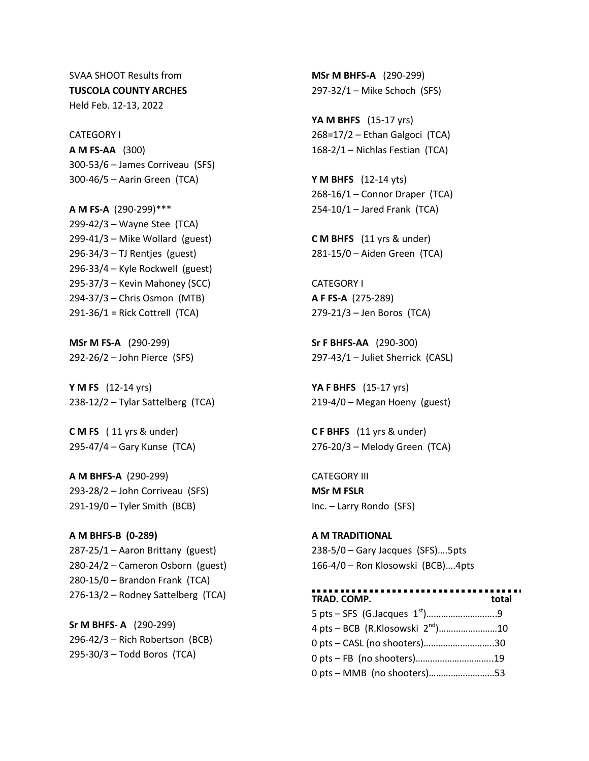SVAA SHOOT Results from **TUSCOLA COUNTY ARCHES** Held Feb. 12-13, 2022

CATEGORY I **A M FS-AA** (300) 300-53/6 – James Corriveau (SFS) 300-46/5 – Aarin Green (TCA)

**A M FS-A** (290-299)\*\*\* 299-42/3 – Wayne Stee (TCA) 299-41/3 – Mike Wollard (guest) 296-34/3 – TJ Rentjes (guest) 296-33/4 – Kyle Rockwell (guest) 295-37/3 – Kevin Mahoney (SCC) 294-37/3 – Chris Osmon (MTB) 291-36/1 = Rick Cottrell (TCA)

**MSr M FS-A** (290-299) 292-26/2 – John Pierce (SFS)

**Y M FS** (12-14 yrs) 238-12/2 – Tylar Sattelberg (TCA)

**C M FS** ( 11 yrs & under) 295-47/4 – Gary Kunse (TCA)

**A M BHFS-A** (290-299) 293-28/2 – John Corriveau (SFS) 291-19/0 – Tyler Smith (BCB)

**A M BHFS-B (0-289)** 287-25/1 – Aaron Brittany (guest) 280-24/2 – Cameron Osborn (guest) 280-15/0 – Brandon Frank (TCA) 276-13/2 – Rodney Sattelberg (TCA)

**Sr M BHFS- A** (290-299) 296-42/3 – Rich Robertson (BCB) 295-30/3 – Todd Boros (TCA)

**MSr M BHFS-A** (290-299) 297-32/1 – Mike Schoch (SFS)

**YA M BHFS** (15-17 yrs) 268=17/2 – Ethan Galgoci (TCA) 168-2/1 – Nichlas Festian (TCA)

**Y M BHFS** (12-14 yts) 268-16/1 – Connor Draper (TCA) 254-10/1 – Jared Frank (TCA)

**C M BHFS** (11 yrs & under) 281-15/0 – Aiden Green (TCA)

CATEGORY I **A F FS-A** (275-289) 279-21/3 – Jen Boros (TCA)

**Sr F BHFS-AA** (290-300) 297-43/1 – Juliet Sherrick (CASL)

**YA F BHFS** (15-17 yrs) 219-4/0 – Megan Hoeny (guest)

**C F BHFS** (11 yrs & under) 276-20/3 – Melody Green (TCA)

CATEGORY III **MSr M FSLR** Inc. – Larry Rondo (SFS)

**A M TRADITIONAL** 238-5/0 – Gary Jacques (SFS)….5pts 166-4/0 – Ron Klosowski (BCB)….4pts

**TRAD. COMP. total** 5 pts – SFS (G.Jacques 1st)………………………..9 4 pts – BCB (R.Klosowski 2nd)……………………10 0 pts – CASL (no shooters)………………………..30 0 pts – FB (no shooters)…………………………..19 0 pts – MMB (no shooters)………………………53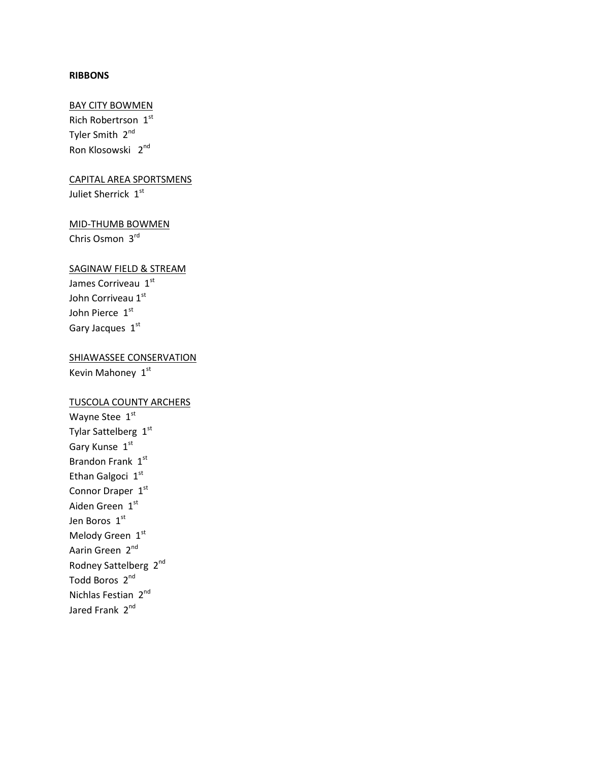#### **RIBBONS**

### BAY CITY BOWMEN

Rich Robertrson 1st Tyler Smith 2<sup>nd</sup> Ron Klosowski 2nd

# CAPITAL AREA SPORTSMENS Juliet Sherrick 1st

## MID-THUMB BOWMEN Chris Osmon 3rd

#### SAGINAW FIELD & STREAM

James Corriveau 1st John Corriveau 1st John Pierce 1st Gary Jacques 1st

# SHIAWASSEE CONSERVATION Kevin Mahoney 1st

## TUSCOLA COUNTY ARCHERS

Wayne Stee 1st Tylar Sattelberg 1st Gary Kunse 1st Brandon Frank  $1^{st}$ Ethan Galgoci 1st Connor Draper 1st Aiden Green 1st Jen Boros 1st Melody Green  $1^{st}$ Aarin Green 2<sup>nd</sup> Rodney Sattelberg 2<sup>nd</sup> Todd Boros 2<sup>nd</sup> Nichlas Festian 2nd Jared Frank 2<sup>nd</sup>